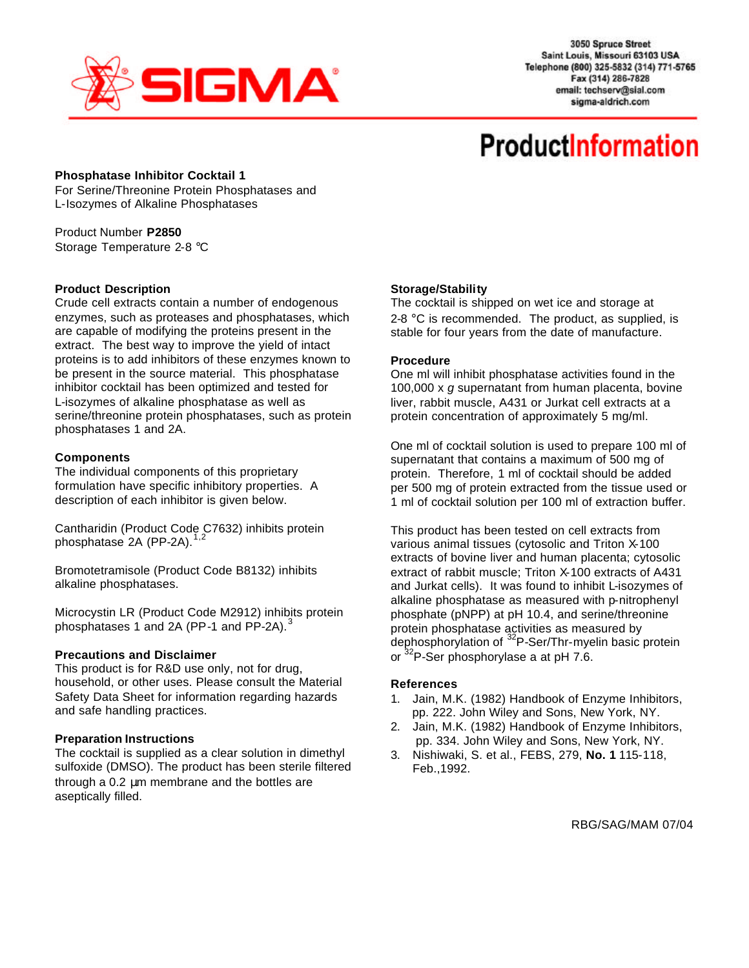

3050 Spruce Street Saint Louis, Missouri 63103 USA Telephone (800) 325-5832 (314) 771-5765 Fax (314) 286-7828 email: techserv@sial.com sigma-aldrich.com

# **ProductInformation**

## **Phosphatase Inhibitor Cocktail 1**

For Serine/Threonine Protein Phosphatases and L-Isozymes of Alkaline Phosphatases

Product Number **[P2850](http://www.sigmaaldrich.com/catalog/ProductDetail.do?N4=P2850|SIGMA&N5=SEARCH_CONCAT_PNO|BRAND_KEY&F=SPEC)** Storage Temperature 2-8 °C

## **Product Description**

Crude cell extracts contain a number of endogenous enzymes, such as proteases and phosphatases, which are capable of modifying the proteins present in the extract. The best way to improve the yield of intact proteins is to add inhibitors of these enzymes known to be present in the source material. This phosphatase inhibitor cocktail has been optimized and tested for L-isozymes of alkaline phosphatase as well as serine/threonine protein phosphatases, such as protein phosphatases 1 and 2A.

## **Components**

The individual components of this proprietary formulation have specific inhibitory properties. A description of each inhibitor is given below.

Cantharidin (Product Code C7632) inhibits protein phosphatase 2A (PP-2A).<sup>1,2</sup>

Bromotetramisole (Product Code B8132) inhibits alkaline phosphatases.

Microcystin LR (Product Code M2912) inhibits protein phosphatases 1 and 2A (PP-1 and PP-2A). $3$ 

#### **Precautions and Disclaimer**

This product is for R&D use only, not for drug, household, or other uses. Please consult the Material Safety Data Sheet for information regarding hazards and safe handling practices.

#### **Preparation Instructions**

The cocktail is supplied as a clear solution in dimethyl sulfoxide (DMSO). The product has been sterile filtered through a 0.2 μm membrane and the bottles are aseptically filled.

## **Storage/Stability**

The cocktail is shipped on wet ice and storage at 2-8  $\degree$ C is recommended. The product, as supplied, is stable for four years from the date of manufacture.

#### **Procedure**

One ml will inhibit phosphatase activities found in the 100,000 x *g* supernatant from human placenta, bovine liver, rabbit muscle, A431 or Jurkat cell extracts at a protein concentration of approximately 5 mg/ml.

One ml of cocktail solution is used to prepare 100 ml of supernatant that contains a maximum of 500 mg of protein. Therefore, 1 ml of cocktail should be added per 500 mg of protein extracted from the tissue used or 1 ml of cocktail solution per 100 ml of extraction buffer.

This product has been tested on cell extracts from various animal tissues (cytosolic and Triton X-100 extracts of bovine liver and human placenta; cytosolic extract of rabbit muscle; Triton X-100 extracts of A431 and Jurkat cells). It was found to inhibit L-isozymes of alkaline phosphatase as measured with p-nitrophenyl phosphate (pNPP) at pH 10.4, and serine/threonine protein phosphatase activities as measured by dephosphorylation of  $32P$ -Ser/Thr-myelin basic protein or <sup>32</sup>P-Ser phosphorylase a at pH 7.6.

#### **References**

- 1. Jain, M.K. (1982) Handbook of Enzyme Inhibitors, pp. 222. John Wiley and Sons, New York, NY.
- 2. Jain, M.K. (1982) Handbook of Enzyme Inhibitors, pp. 334. John Wiley and Sons, New York, NY.
- 3. Nishiwaki, S. et al., FEBS, 279, **No. 1** 115-118, Feb.,1992.

RBG/SAG/MAM 07/04